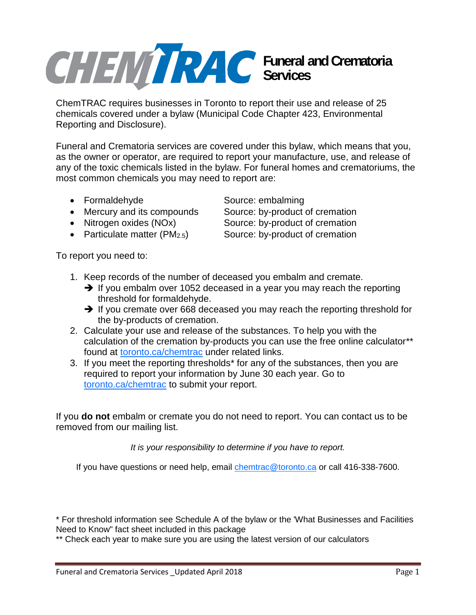## **Funeral and Crematoria Services**

ChemTRAC requires businesses in Toronto to report their use and release of 25 chemicals covered under a bylaw (Municipal Code Chapter 423, Environmental Reporting and Disclosure).

Funeral and Crematoria services are covered under this bylaw, which means that you, as the owner or operator, are required to report your manufacture, use, and release of any of the toxic chemicals listed in the bylaw. For funeral homes and crematoriums, the most common chemicals you may need to report are:

- 
- Mercury and its compounds Source: by-product of cremation
- Nitrogen oxides (NOx) Source: by-product of cremation
- 

To report you need to:

• Formaldehyde Source: embalming

- Particulate matter (PM<sub>2.5</sub>) Source: by-product of cremation
- 1. Keep records of the number of deceased you embalm and cremate.
	- $\rightarrow$  If you embalm over 1052 deceased in a year you may reach the reporting threshold for formaldehyde.
	- $\rightarrow$  If you cremate over 668 deceased you may reach the reporting threshold for the by-products of cremation.
- 2. Calculate your use and release of the substances. To help you with the calculation of the cremation by-products you can use the free online calculator\*\* found at toronto.ca/chemtrac under related links.
- 3. If you meet the reporting thresholds\* for any of the substances, then you are required to report your information by June 30 each year. Go to toronto.ca/chemtrac to submit your report.

If you **do not** embalm or cremate you do not need to report. You can contact us to be removed from our mailing list.

*It is your responsibility to determine if you have to report.*

If you have questions or need help, email chemtrac@toronto.ca or call 416-338-7600.

\* For threshold information see Schedule A of the bylaw or the 'What Businesses and Facilities Need to Know" fact sheet included in this package

\*\* Check each year to make sure you are using the latest version of our calculators